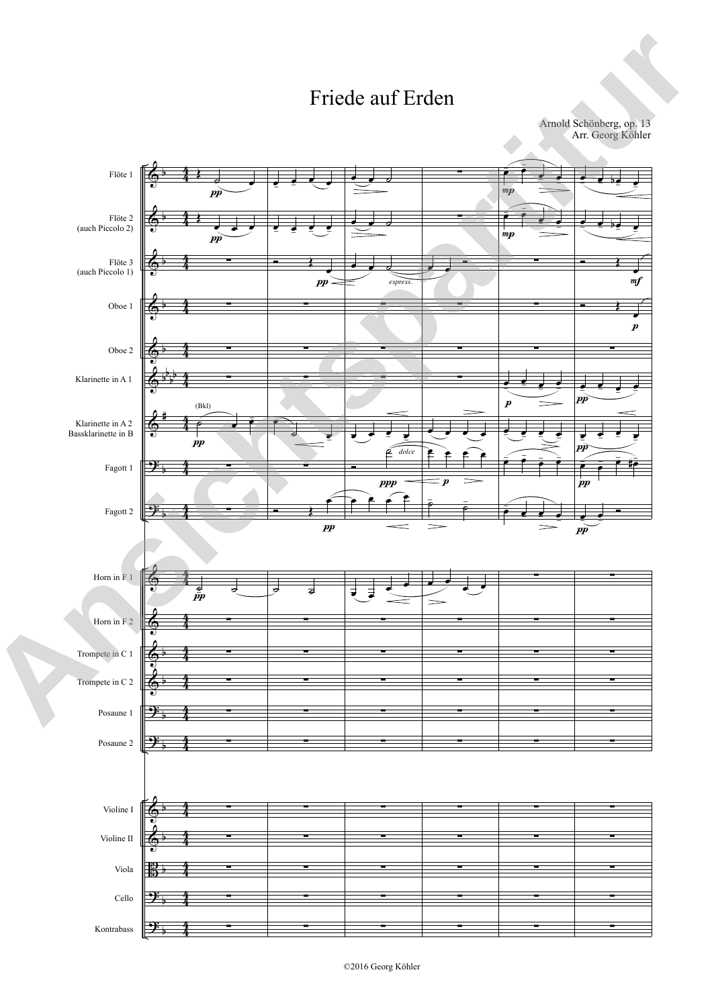## Friede auf Erden

Arnold Schönberg, op. 13

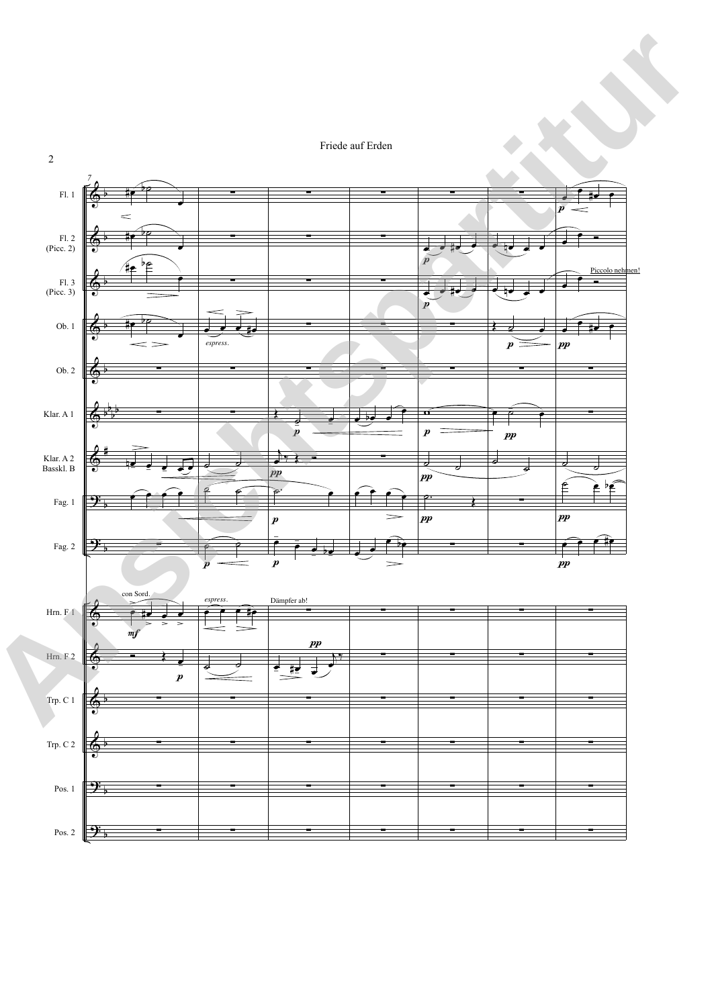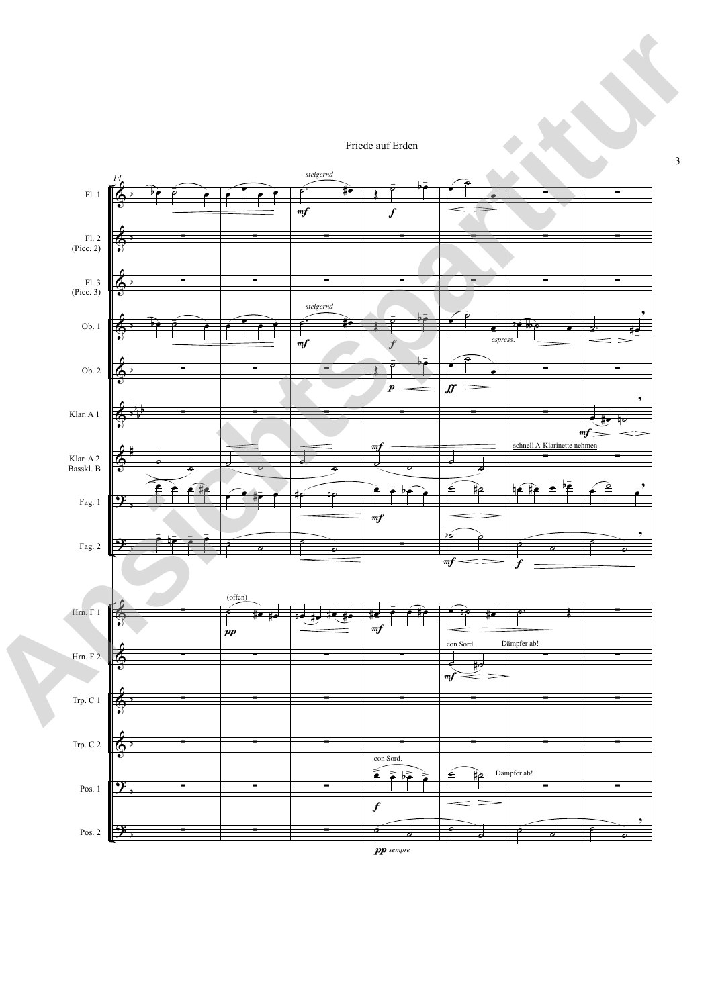

pp *sempre*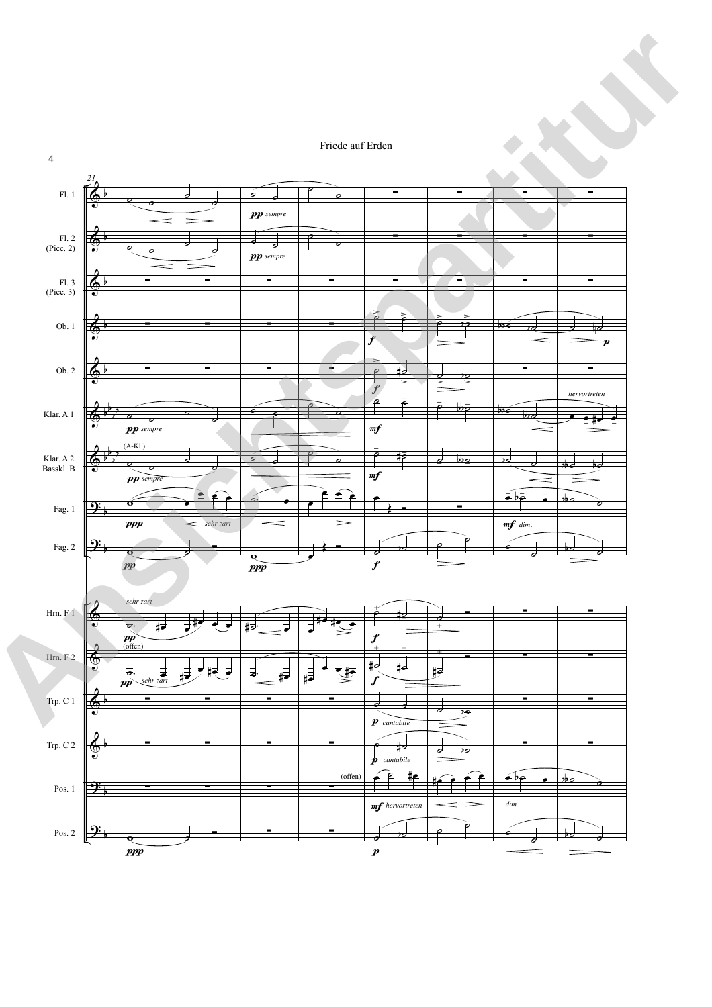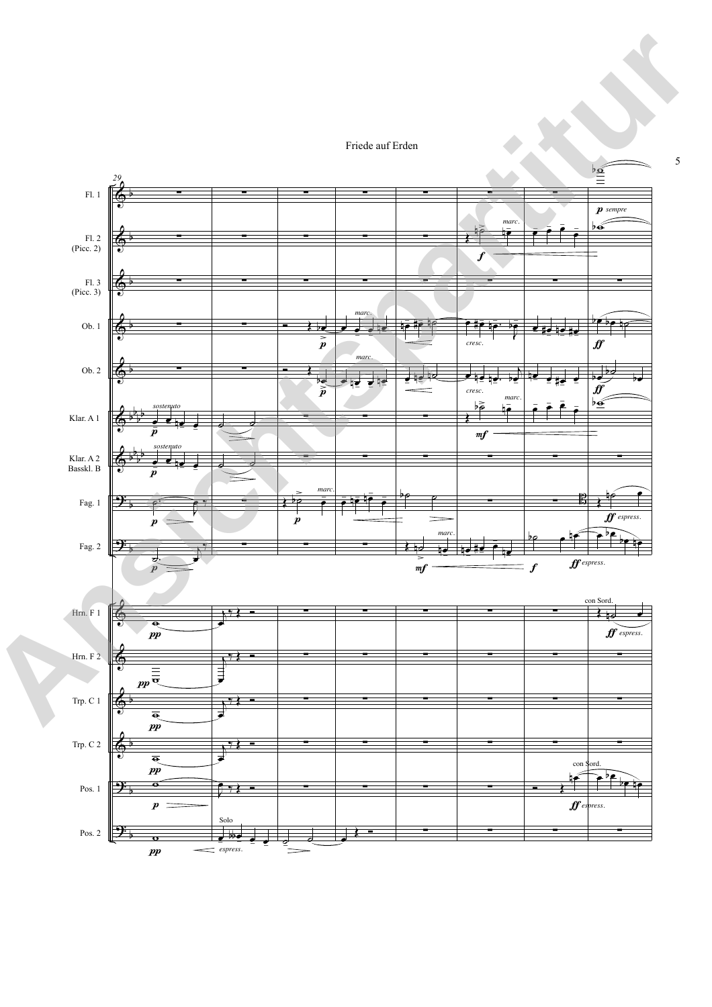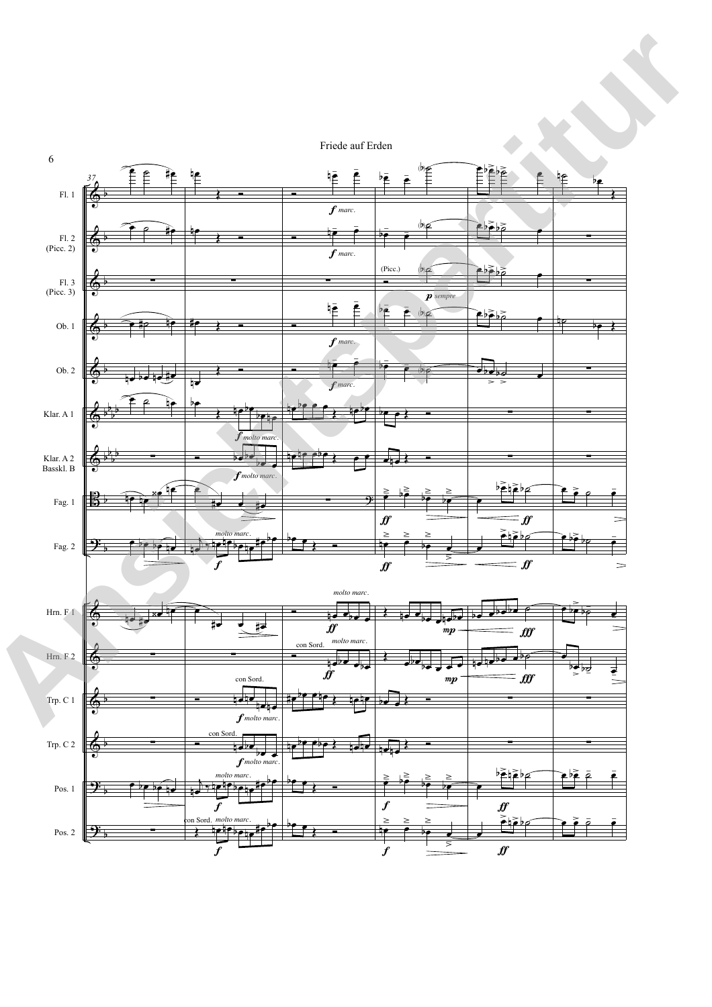